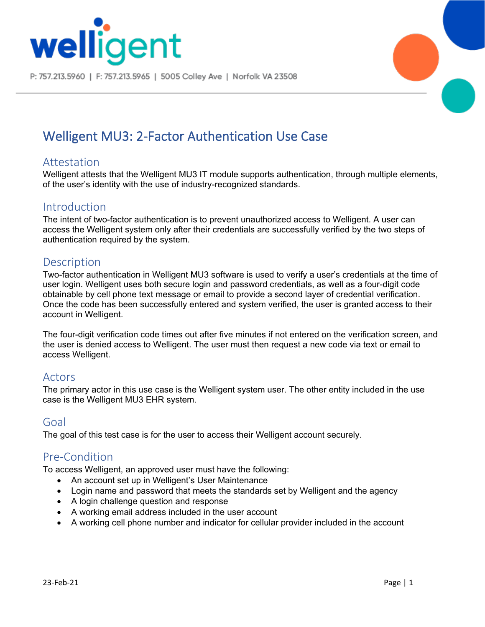

P: 757.213.5960 | F: 757.213.5965 | 5005 Colley Ave | Norfolk VA 23508



# Welligent MU3: 2-Factor Authentication Use Case

# Attestation

Welligent attests that the Welligent MU3 IT module supports authentication, through multiple elements, of the user's identity with the use of industry-recognized standards.

## Introduction

The intent of two-factor authentication is to prevent unauthorized access to Welligent. A user can access the Welligent system only after their credentials are successfully verified by the two steps of authentication required by the system.

## **Description**

Two-factor authentication in Welligent MU3 software is used to verify a user's credentials at the time of user login. Welligent uses both secure login and password credentials, as well as a four-digit code obtainable by cell phone text message or email to provide a second layer of credential verification. Once the code has been successfully entered and system verified, the user is granted access to their account in Welligent.

The four-digit verification code times out after five minutes if not entered on the verification screen, and the user is denied access to Welligent. The user must then request a new code via text or email to access Welligent.

## Actors

The primary actor in this use case is the Welligent system user. The other entity included in the use case is the Welligent MU3 EHR system.

#### Goal

The goal of this test case is for the user to access their Welligent account securely.

# Pre-Condition

To access Welligent, an approved user must have the following:

- An account set up in Welligent's User Maintenance
- Login name and password that meets the standards set by Welligent and the agency
- A login challenge question and response
- A working email address included in the user account
- A working cell phone number and indicator for cellular provider included in the account